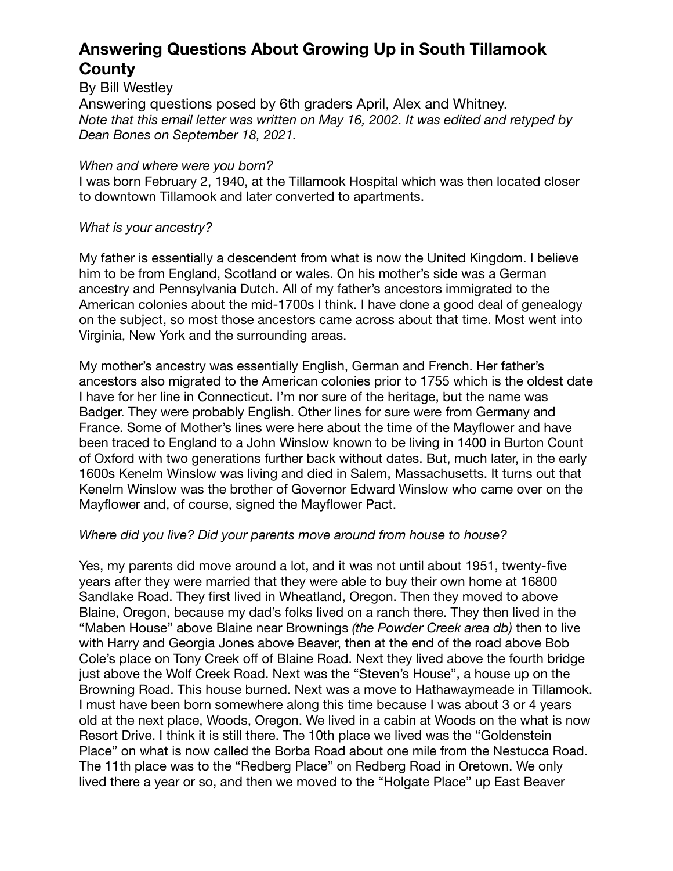## **Answering Questions About Growing Up in South Tillamook County**

By Bill Westley

Answering questions posed by 6th graders April, Alex and Whitney. *Note that this email letter was written on May 16, 2002. It was edited and retyped by Dean Bones on September 18, 2021.* 

#### *When and where were you born?*

I was born February 2, 1940, at the Tillamook Hospital which was then located closer to downtown Tillamook and later converted to apartments.

## *What is your ancestry?*

My father is essentially a descendent from what is now the United Kingdom. I believe him to be from England, Scotland or wales. On his mother's side was a German ancestry and Pennsylvania Dutch. All of my father's ancestors immigrated to the American colonies about the mid-1700s I think. I have done a good deal of genealogy on the subject, so most those ancestors came across about that time. Most went into Virginia, New York and the surrounding areas.

My mother's ancestry was essentially English, German and French. Her father's ancestors also migrated to the American colonies prior to 1755 which is the oldest date I have for her line in Connecticut. I'm nor sure of the heritage, but the name was Badger. They were probably English. Other lines for sure were from Germany and France. Some of Mother's lines were here about the time of the Mayflower and have been traced to England to a John Winslow known to be living in 1400 in Burton Count of Oxford with two generations further back without dates. But, much later, in the early 1600s Kenelm Winslow was living and died in Salem, Massachusetts. It turns out that Kenelm Winslow was the brother of Governor Edward Winslow who came over on the Mayflower and, of course, signed the Mayflower Pact.

## *Where did you live? Did your parents move around from house to house?*

Yes, my parents did move around a lot, and it was not until about 1951, twenty-five years after they were married that they were able to buy their own home at 16800 Sandlake Road. They first lived in Wheatland, Oregon. Then they moved to above Blaine, Oregon, because my dad's folks lived on a ranch there. They then lived in the "Maben House" above Blaine near Brownings *(the Powder Creek area db)* then to live with Harry and Georgia Jones above Beaver, then at the end of the road above Bob Cole's place on Tony Creek off of Blaine Road. Next they lived above the fourth bridge just above the Wolf Creek Road. Next was the "Steven's House", a house up on the Browning Road. This house burned. Next was a move to Hathawaymeade in Tillamook. I must have been born somewhere along this time because I was about 3 or 4 years old at the next place, Woods, Oregon. We lived in a cabin at Woods on the what is now Resort Drive. I think it is still there. The 10th place we lived was the "Goldenstein Place" on what is now called the Borba Road about one mile from the Nestucca Road. The 11th place was to the "Redberg Place" on Redberg Road in Oretown. We only lived there a year or so, and then we moved to the "Holgate Place" up East Beaver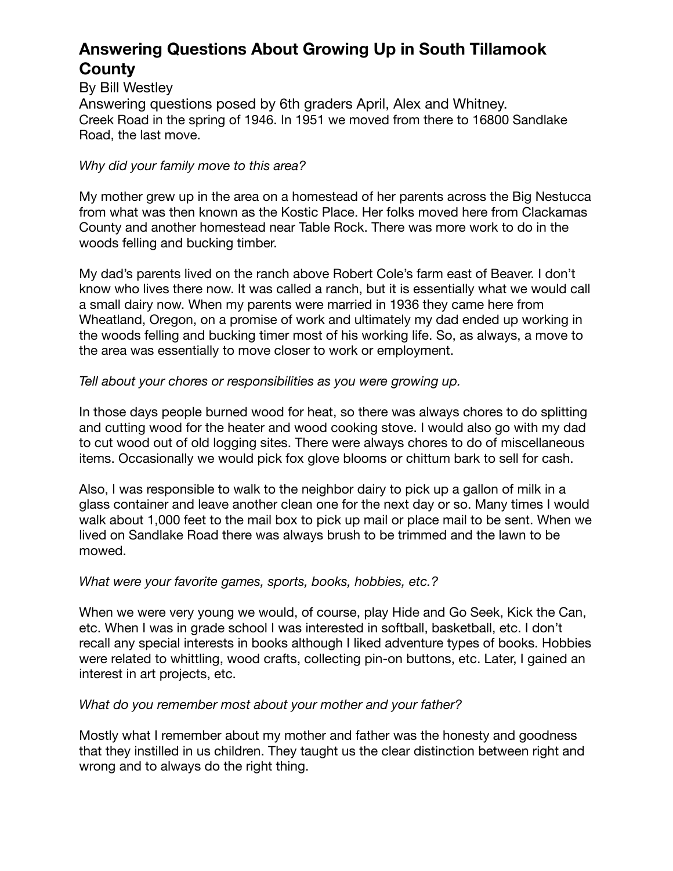## **Answering Questions About Growing Up in South Tillamook County**

By Bill Westley Answering questions posed by 6th graders April, Alex and Whitney. Creek Road in the spring of 1946. In 1951 we moved from there to 16800 Sandlake Road, the last move.

## *Why did your family move to this area?*

My mother grew up in the area on a homestead of her parents across the Big Nestucca from what was then known as the Kostic Place. Her folks moved here from Clackamas County and another homestead near Table Rock. There was more work to do in the woods felling and bucking timber.

My dad's parents lived on the ranch above Robert Cole's farm east of Beaver. I don't know who lives there now. It was called a ranch, but it is essentially what we would call a small dairy now. When my parents were married in 1936 they came here from Wheatland, Oregon, on a promise of work and ultimately my dad ended up working in the woods felling and bucking timer most of his working life. So, as always, a move to the area was essentially to move closer to work or employment.

## *Tell about your chores or responsibilities as you were growing up.*

In those days people burned wood for heat, so there was always chores to do splitting and cutting wood for the heater and wood cooking stove. I would also go with my dad to cut wood out of old logging sites. There were always chores to do of miscellaneous items. Occasionally we would pick fox glove blooms or chittum bark to sell for cash.

Also, I was responsible to walk to the neighbor dairy to pick up a gallon of milk in a glass container and leave another clean one for the next day or so. Many times I would walk about 1,000 feet to the mail box to pick up mail or place mail to be sent. When we lived on Sandlake Road there was always brush to be trimmed and the lawn to be mowed.

## *What were your favorite games, sports, books, hobbies, etc.?*

When we were very young we would, of course, play Hide and Go Seek, Kick the Can, etc. When I was in grade school I was interested in softball, basketball, etc. I don't recall any special interests in books although I liked adventure types of books. Hobbies were related to whittling, wood crafts, collecting pin-on buttons, etc. Later, I gained an interest in art projects, etc.

## *What do you remember most about your mother and your father?*

Mostly what I remember about my mother and father was the honesty and goodness that they instilled in us children. They taught us the clear distinction between right and wrong and to always do the right thing.